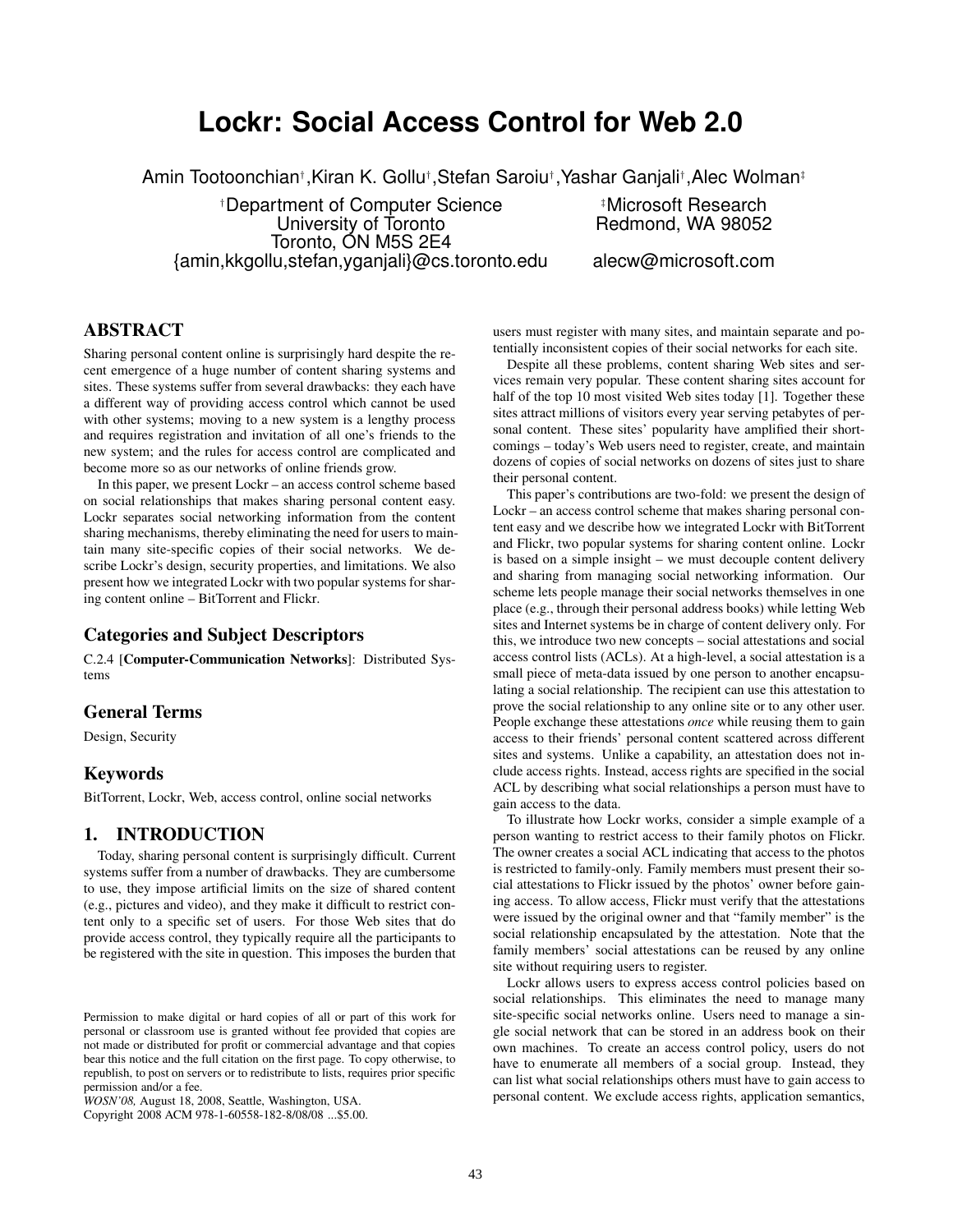# **Lockr: Social Access Control for Web 2.0**

Amin Tootoonchian†,Kiran K. Gollu†,Stefan Saroiu†,Yashar Ganjali†,Alec Wolman‡

†Department of Computer Science ‡Microsoft Research Toronto, ÓN M5S 2E4 {amin,kkgollu,stefan,yganjali}@cs.toronto.edu alecw@microsoft.com

Redmond, WA 98052

# ABSTRACT

Sharing personal content online is surprisingly hard despite the recent emergence of a huge number of content sharing systems and sites. These systems suffer from several drawbacks: they each have a different way of providing access control which cannot be used with other systems; moving to a new system is a lengthy process and requires registration and invitation of all one's friends to the new system; and the rules for access control are complicated and become more so as our networks of online friends grow.

In this paper, we present Lockr – an access control scheme based on social relationships that makes sharing personal content easy. Lockr separates social networking information from the content sharing mechanisms, thereby eliminating the need for users to maintain many site-specific copies of their social networks. We describe Lockr's design, security properties, and limitations. We also present how we integrated Lockr with two popular systems forsharing content online – BitTorrent and Flickr.

### Categories and Subject Descriptors

C.2.4 [Computer-Communication Networks]: Distributed Systems

## General Terms

Design, Security

#### Keywords

BitTorrent, Lockr, Web, access control, online social networks

### 1. INTRODUCTION

Today, sharing personal content is surprisingly difficult. Current systems suffer from a number of drawbacks. They are cumbersome to use, they impose artificial limits on the size of shared content (e.g., pictures and video), and they make it difficult to restrict content only to a specific set of users. For those Web sites that do provide access control, they typically require all the participants to be registered with the site in question. This imposes the burden that

Copyright 2008 ACM 978-1-60558-182-8/08/08 ...\$5.00.

users must register with many sites, and maintain separate and potentially inconsistent copies of their social networks for each site.

Despite all these problems, content sharing Web sites and services remain very popular. These content sharing sites account for half of the top 10 most visited Web sites today [1]. Together these sites attract millions of visitors every year serving petabytes of personal content. These sites' popularity have amplified their shortcomings – today's Web users need to register, create, and maintain dozens of copies of social networks on dozens of sites just to share their personal content.

This paper's contributions are two-fold: we present the design of Lockr – an access control scheme that makes sharing personal content easy and we describe how we integrated Lockr with BitTorrent and Flickr, two popular systems for sharing content online. Lockr is based on a simple insight – we must decouple content delivery and sharing from managing social networking information. Our scheme lets people manage their social networks themselves in one place (e.g., through their personal address books) while letting Web sites and Internet systems be in charge of content delivery only. For this, we introduce two new concepts – social attestations and social access control lists (ACLs). At a high-level, a social attestation is a small piece of meta-data issued by one person to another encapsulating a social relationship. The recipient can use this attestation to prove the social relationship to any online site or to any other user. People exchange these attestations *once* while reusing them to gain access to their friends' personal content scattered across different sites and systems. Unlike a capability, an attestation does not include access rights. Instead, access rights are specified in the social ACL by describing what social relationships a person must have to gain access to the data.

To illustrate how Lockr works, consider a simple example of a person wanting to restrict access to their family photos on Flickr. The owner creates a social ACL indicating that access to the photos is restricted to family-only. Family members must present their social attestations to Flickr issued by the photos' owner before gaining access. To allow access, Flickr must verify that the attestations were issued by the original owner and that "family member" is the social relationship encapsulated by the attestation. Note that the family members' social attestations can be reused by any online site without requiring users to register.

Lockr allows users to express access control policies based on social relationships. This eliminates the need to manage many site-specific social networks online. Users need to manage a single social network that can be stored in an address book on their own machines. To create an access control policy, users do not have to enumerate all members of a social group. Instead, they can list what social relationships others must have to gain access to personal content. We exclude access rights, application semantics,

Permission to make digital or hard copies of all or part of this work for personal or classroom use is granted without fee provided that copies are not made or distributed for profit or commercial advantage and that copies bear this notice and the full citation on the first page. To copy otherwise, to republish, to post on servers or to redistribute to lists, requires prior specific permission and/or a fee.

*WOSN'08,* August 18, 2008, Seattle, Washington, USA.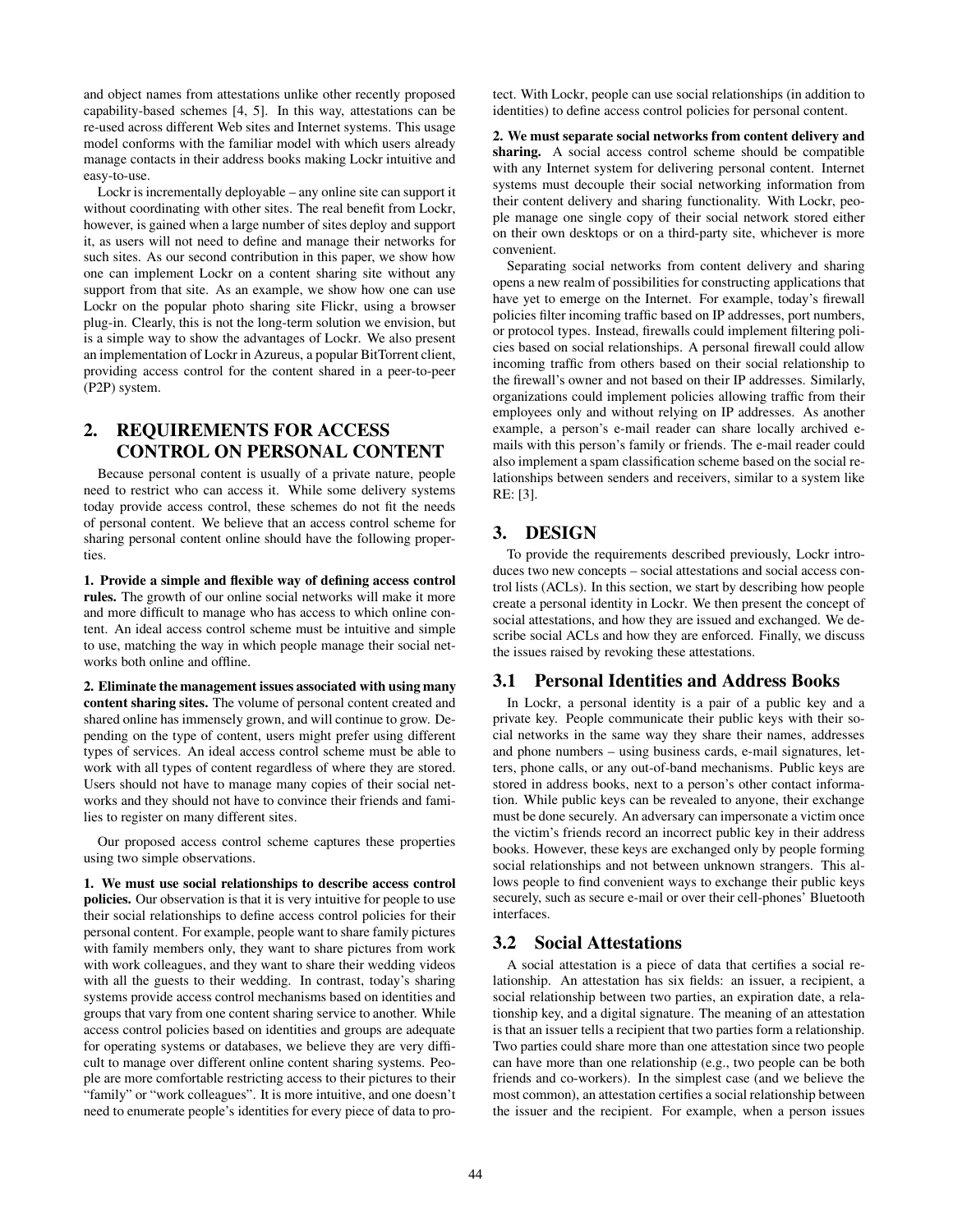and object names from attestations unlike other recently proposed capability-based schemes [4, 5]. In this way, attestations can be re-used across different Web sites and Internet systems. This usage model conforms with the familiar model with which users already manage contacts in their address books making Lockr intuitive and easy-to-use.

Lockr is incrementally deployable – any online site can support it without coordinating with other sites. The real benefit from Lockr, however, is gained when a large number of sites deploy and support it, as users will not need to define and manage their networks for such sites. As our second contribution in this paper, we show how one can implement Lockr on a content sharing site without any support from that site. As an example, we show how one can use Lockr on the popular photo sharing site Flickr, using a browser plug-in. Clearly, this is not the long-term solution we envision, but is a simple way to show the advantages of Lockr. We also present an implementation of Lockr in Azureus, a popular BitTorrent client, providing access control for the content shared in a peer-to-peer (P2P) system.

# 2. REQUIREMENTS FOR ACCESS CONTROL ON PERSONAL CONTENT

Because personal content is usually of a private nature, people need to restrict who can access it. While some delivery systems today provide access control, these schemes do not fit the needs of personal content. We believe that an access control scheme for sharing personal content online should have the following properties.

1. Provide a simple and flexible way of defining access control rules. The growth of our online social networks will make it more and more difficult to manage who has access to which online content. An ideal access control scheme must be intuitive and simple to use, matching the way in which people manage their social networks both online and offline.

2. Eliminate the management issues associated with using many content sharing sites. The volume of personal content created and shared online has immensely grown, and will continue to grow. Depending on the type of content, users might prefer using different types of services. An ideal access control scheme must be able to work with all types of content regardless of where they are stored. Users should not have to manage many copies of their social networks and they should not have to convince their friends and families to register on many different sites.

Our proposed access control scheme captures these properties using two simple observations.

1. We must use social relationships to describe access control policies. Our observation is that it is very intuitive for people to use their social relationships to define access control policies for their personal content. For example, people want to share family pictures with family members only, they want to share pictures from work with work colleagues, and they want to share their wedding videos with all the guests to their wedding. In contrast, today's sharing systems provide access control mechanisms based on identities and groups that vary from one content sharing service to another. While access control policies based on identities and groups are adequate for operating systems or databases, we believe they are very difficult to manage over different online content sharing systems. People are more comfortable restricting access to their pictures to their "family" or "work colleagues". It is more intuitive, and one doesn't need to enumerate people's identities for every piece of data to protect. With Lockr, people can use social relationships (in addition to identities) to define access control policies for personal content.

2. We must separate social networks from content delivery and sharing. A social access control scheme should be compatible with any Internet system for delivering personal content. Internet systems must decouple their social networking information from their content delivery and sharing functionality. With Lockr, people manage one single copy of their social network stored either on their own desktops or on a third-party site, whichever is more convenient.

Separating social networks from content delivery and sharing opens a new realm of possibilities for constructing applications that have yet to emerge on the Internet. For example, today's firewall policies filter incoming traffic based on IP addresses, port numbers, or protocol types. Instead, firewalls could implement filtering policies based on social relationships. A personal firewall could allow incoming traffic from others based on their social relationship to the firewall's owner and not based on their IP addresses. Similarly, organizations could implement policies allowing traffic from their employees only and without relying on IP addresses. As another example, a person's e-mail reader can share locally archived emails with this person's family or friends. The e-mail reader could also implement a spam classification scheme based on the social relationships between senders and receivers, similar to a system like RE: [3].

# 3. DESIGN

To provide the requirements described previously, Lockr introduces two new concepts – social attestations and social access control lists (ACLs). In this section, we start by describing how people create a personal identity in Lockr. We then present the concept of social attestations, and how they are issued and exchanged. We describe social ACLs and how they are enforced. Finally, we discuss the issues raised by revoking these attestations.

### 3.1 Personal Identities and Address Books

In Lockr, a personal identity is a pair of a public key and a private key. People communicate their public keys with their social networks in the same way they share their names, addresses and phone numbers – using business cards, e-mail signatures, letters, phone calls, or any out-of-band mechanisms. Public keys are stored in address books, next to a person's other contact information. While public keys can be revealed to anyone, their exchange must be done securely. An adversary can impersonate a victim once the victim's friends record an incorrect public key in their address books. However, these keys are exchanged only by people forming social relationships and not between unknown strangers. This allows people to find convenient ways to exchange their public keys securely, such as secure e-mail or over their cell-phones' Bluetooth interfaces.

#### 3.2 Social Attestations

A social attestation is a piece of data that certifies a social relationship. An attestation has six fields: an issuer, a recipient, a social relationship between two parties, an expiration date, a relationship key, and a digital signature. The meaning of an attestation is that an issuer tells a recipient that two parties form a relationship. Two parties could share more than one attestation since two people can have more than one relationship (e.g., two people can be both friends and co-workers). In the simplest case (and we believe the most common), an attestation certifies a social relationship between the issuer and the recipient. For example, when a person issues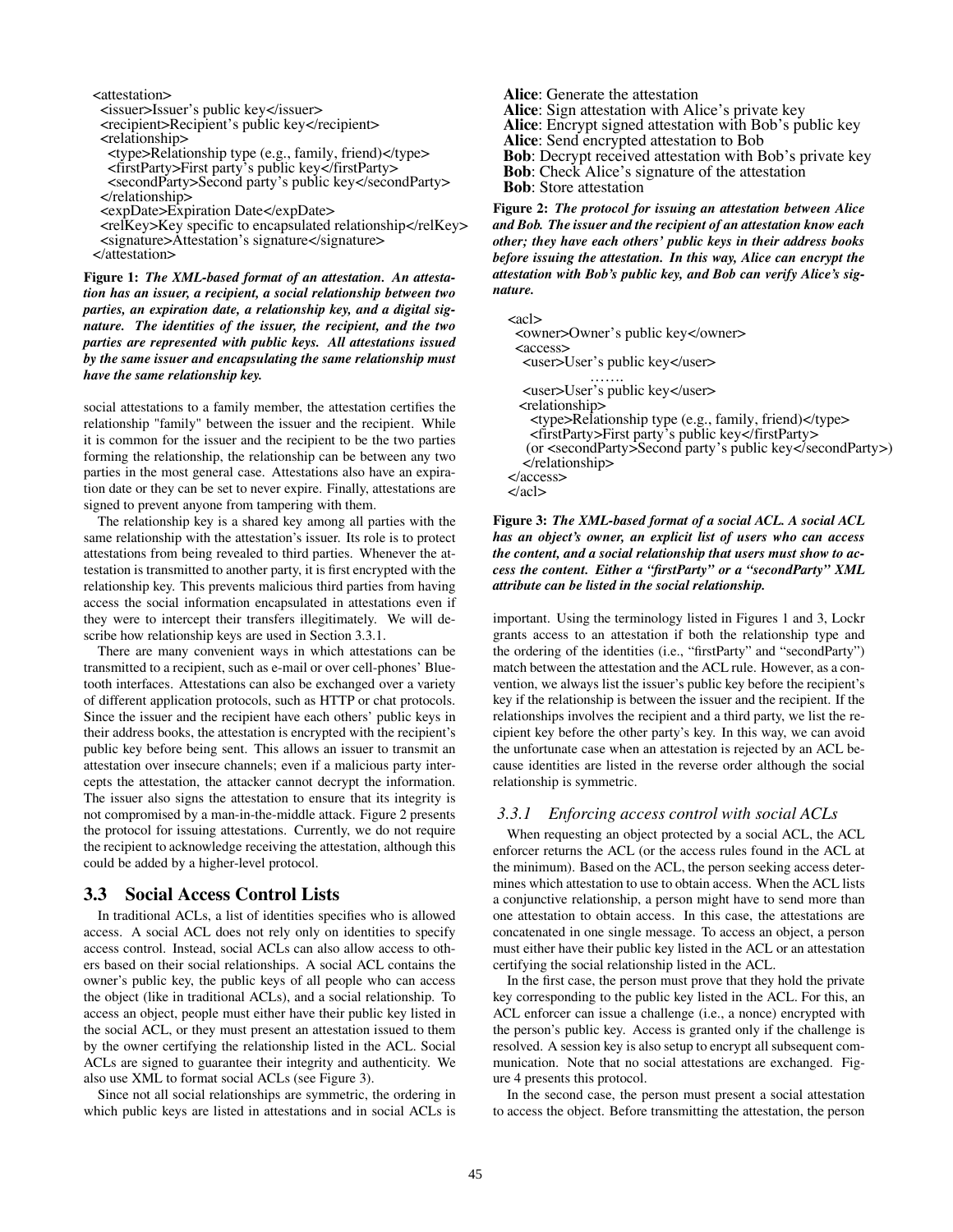#### <attestation> <issuer>Issuer's public key</issuer> <recipient>Recipient's public key</recipient> <relationship> <type>Relationship type (e.g., family, friend)</type> <firstParty>First party's public key</firstParty> <secondParty>Second party's public key</secondParty> </relationship> <expDate>Expiration Date</expDate> <relKey>Key specific to encapsulated relationship</relKey> <signature>Attestation's signature</signature>

</attestation>

Figure 1: *The XML-based format of an attestation. An attestation has an issuer, a recipient, a social relationship between two parties, an expiration date, a relationship key, and a digital signature. The identities of the issuer, the recipient, and the two parties are represented with public keys. All attestations issued by the same issuer and encapsulating the same relationship must have the same relationship key.*

social attestations to a family member, the attestation certifies the relationship "family" between the issuer and the recipient. While it is common for the issuer and the recipient to be the two parties forming the relationship, the relationship can be between any two parties in the most general case. Attestations also have an expiration date or they can be set to never expire. Finally, attestations are signed to prevent anyone from tampering with them.

The relationship key is a shared key among all parties with the same relationship with the attestation's issuer. Its role is to protect attestations from being revealed to third parties. Whenever the attestation is transmitted to another party, it is first encrypted with the relationship key. This prevents malicious third parties from having access the social information encapsulated in attestations even if they were to intercept their transfers illegitimately. We will describe how relationship keys are used in Section 3.3.1.

There are many convenient ways in which attestations can be transmitted to a recipient, such as e-mail or over cell-phones' Bluetooth interfaces. Attestations can also be exchanged over a variety of different application protocols, such as HTTP or chat protocols. Since the issuer and the recipient have each others' public keys in their address books, the attestation is encrypted with the recipient's public key before being sent. This allows an issuer to transmit an attestation over insecure channels; even if a malicious party intercepts the attestation, the attacker cannot decrypt the information. The issuer also signs the attestation to ensure that its integrity is not compromised by a man-in-the-middle attack. Figure 2 presents the protocol for issuing attestations. Currently, we do not require the recipient to acknowledge receiving the attestation, although this could be added by a higher-level protocol.

### 3.3 Social Access Control Lists

In traditional ACLs, a list of identities specifies who is allowed access. A social ACL does not rely only on identities to specify access control. Instead, social ACLs can also allow access to others based on their social relationships. A social ACL contains the owner's public key, the public keys of all people who can access the object (like in traditional ACLs), and a social relationship. To access an object, people must either have their public key listed in the social ACL, or they must present an attestation issued to them by the owner certifying the relationship listed in the ACL. Social ACLs are signed to guarantee their integrity and authenticity. We also use XML to format social ACLs (see Figure 3).

Since not all social relationships are symmetric, the ordering in which public keys are listed in attestations and in social ACLs is

**Alice**: Generate the attestation **Alice**: Sign attestation with Alice's private key **Alice**: Encrypt signed attestation with Bob's public key **Alice**: Send encrypted attestation to Bob **Bob**: Decrypt received attestation with Bob's private key **Bob**: Check Alice's signature of the attestation **Bob**: Store attestation

Figure 2: *The protocol for issuing an attestation between Alice and Bob. The issuer and the recipient of an attestation know each other; they have each others' public keys in their address books before issuing the attestation. In this way, Alice can encrypt the attestation with Bob's public key, and Bob can verify Alice's signature.*

| <acl></acl>                                                                                                                                                                                                                                                                                                                                                                                        |
|----------------------------------------------------------------------------------------------------------------------------------------------------------------------------------------------------------------------------------------------------------------------------------------------------------------------------------------------------------------------------------------------------|
| <owner>Owner's public key</owner>                                                                                                                                                                                                                                                                                                                                                                  |
| $\langle access \rangle$                                                                                                                                                                                                                                                                                                                                                                           |
| <user>User's public key</user>                                                                                                                                                                                                                                                                                                                                                                     |
| <user>User's public key</user><br><relationship><br/><type>Relationship type (e.g., family, friend)</type><br/><firstparty>First party's public key</firstparty><br/>(or <secondparty>Second party's public key</secondparty>)<br/><math>\langle</math> relationship <math>&gt;</math><br/><math>\langle</math>access<math>&gt;</math><br/><math>\langle</math>acl<math>&gt;</math></relationship> |
|                                                                                                                                                                                                                                                                                                                                                                                                    |

#### Figure 3: *The XML-based format of a social ACL. A social ACL has an object's owner, an explicit list of users who can access the content, and a social relationship that users must show to access the content. Either a "firstParty" or a "secondParty" XML attribute can be listed in the social relationship.*

important. Using the terminology listed in Figures 1 and 3, Lockr grants access to an attestation if both the relationship type and the ordering of the identities (i.e., "firstParty" and "secondParty") match between the attestation and the ACL rule. However, as a convention, we always list the issuer's public key before the recipient's key if the relationship is between the issuer and the recipient. If the relationships involves the recipient and a third party, we list the recipient key before the other party's key. In this way, we can avoid the unfortunate case when an attestation is rejected by an ACL because identities are listed in the reverse order although the social relationship is symmetric.

#### *3.3.1 Enforcing access control with social ACLs*

When requesting an object protected by a social ACL, the ACL enforcer returns the ACL (or the access rules found in the ACL at the minimum). Based on the ACL, the person seeking access determines which attestation to use to obtain access. When the ACL lists a conjunctive relationship, a person might have to send more than one attestation to obtain access. In this case, the attestations are concatenated in one single message. To access an object, a person must either have their public key listed in the ACL or an attestation certifying the social relationship listed in the ACL.

In the first case, the person must prove that they hold the private key corresponding to the public key listed in the ACL. For this, an ACL enforcer can issue a challenge (i.e., a nonce) encrypted with the person's public key. Access is granted only if the challenge is resolved. A session key is also setup to encrypt all subsequent communication. Note that no social attestations are exchanged. Figure 4 presents this protocol.

In the second case, the person must present a social attestation to access the object. Before transmitting the attestation, the person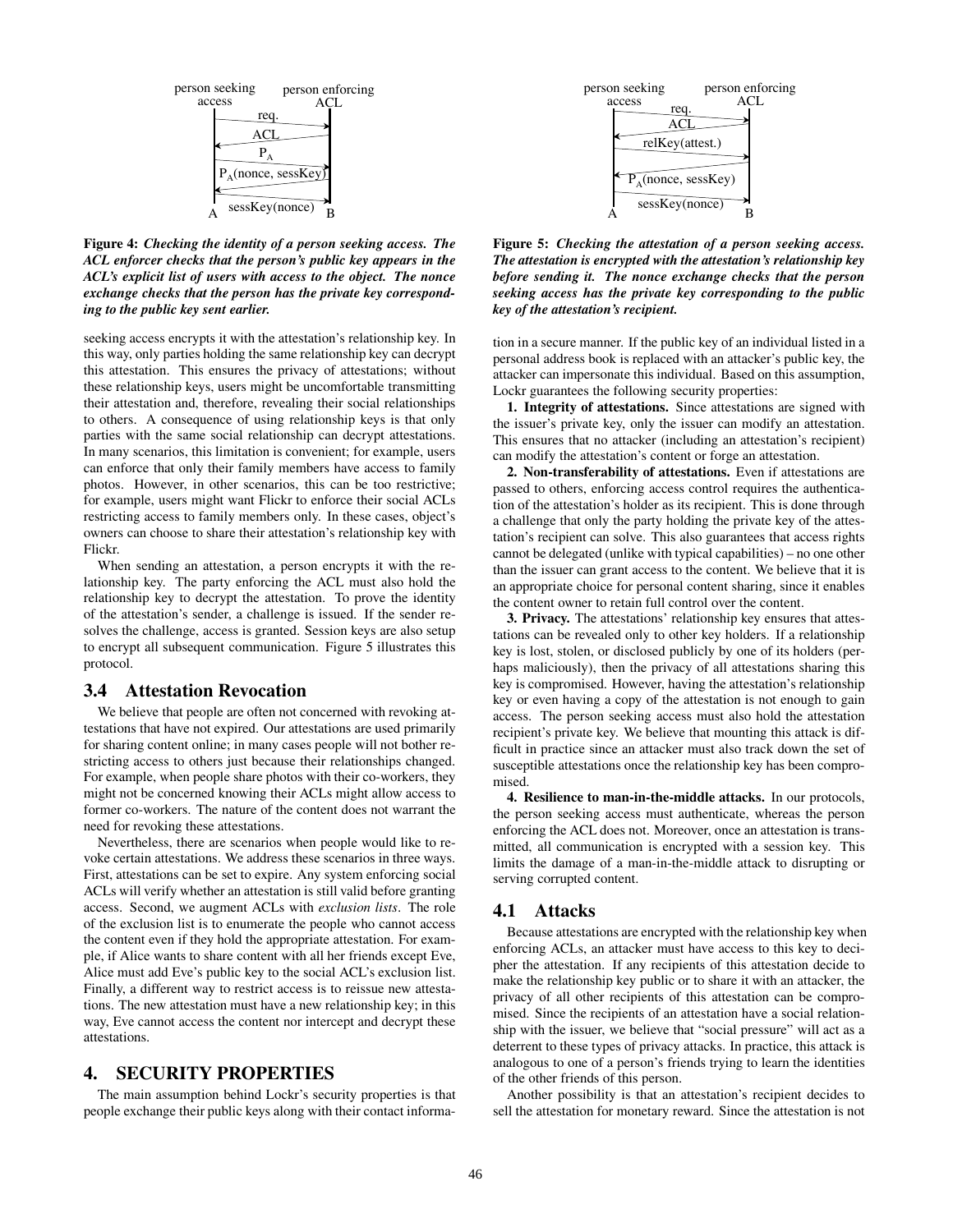

Figure 4: *Checking the identity of a person seeking access. The ACL enforcer checks that the person's public key appears in the ACL's explicit list of users with access to the object. The nonce exchange checks that the person has the private key corresponding to the public key sent earlier.*

seeking access encrypts it with the attestation's relationship key. In this way, only parties holding the same relationship key can decrypt this attestation. This ensures the privacy of attestations; without these relationship keys, users might be uncomfortable transmitting their attestation and, therefore, revealing their social relationships to others. A consequence of using relationship keys is that only parties with the same social relationship can decrypt attestations. In many scenarios, this limitation is convenient; for example, users can enforce that only their family members have access to family photos. However, in other scenarios, this can be too restrictive; for example, users might want Flickr to enforce their social ACLs restricting access to family members only. In these cases, object's owners can choose to share their attestation's relationship key with Flickr.

When sending an attestation, a person encrypts it with the relationship key. The party enforcing the ACL must also hold the relationship key to decrypt the attestation. To prove the identity of the attestation's sender, a challenge is issued. If the sender resolves the challenge, access is granted. Session keys are also setup to encrypt all subsequent communication. Figure 5 illustrates this protocol.

#### 3.4 Attestation Revocation

We believe that people are often not concerned with revoking attestations that have not expired. Our attestations are used primarily for sharing content online; in many cases people will not bother restricting access to others just because their relationships changed. For example, when people share photos with their co-workers, they might not be concerned knowing their ACLs might allow access to former co-workers. The nature of the content does not warrant the need for revoking these attestations.

Nevertheless, there are scenarios when people would like to revoke certain attestations. We address these scenarios in three ways. First, attestations can be set to expire. Any system enforcing social ACLs will verify whether an attestation is still valid before granting access. Second, we augment ACLs with *exclusion lists*. The role of the exclusion list is to enumerate the people who cannot access the content even if they hold the appropriate attestation. For example, if Alice wants to share content with all her friends except Eve, Alice must add Eve's public key to the social ACL's exclusion list. Finally, a different way to restrict access is to reissue new attestations. The new attestation must have a new relationship key; in this way, Eve cannot access the content nor intercept and decrypt these attestations.

#### 4. SECURITY PROPERTIES

The main assumption behind Lockr's security properties is that people exchange their public keys along with their contact informa-



Figure 5: *Checking the attestation of a person seeking access. The attestation is encrypted with the attestation's relationship key before sending it. The nonce exchange checks that the person seeking access has the private key corresponding to the public key of the attestation's recipient.*

tion in a secure manner. If the public key of an individual listed in a personal address book is replaced with an attacker's public key, the attacker can impersonate this individual. Based on this assumption, Lockr guarantees the following security properties:

1. Integrity of attestations. Since attestations are signed with the issuer's private key, only the issuer can modify an attestation. This ensures that no attacker (including an attestation's recipient) can modify the attestation's content or forge an attestation.

2. Non-transferability of attestations. Even if attestations are passed to others, enforcing access control requires the authentication of the attestation's holder as its recipient. This is done through a challenge that only the party holding the private key of the attestation's recipient can solve. This also guarantees that access rights cannot be delegated (unlike with typical capabilities) – no one other than the issuer can grant access to the content. We believe that it is an appropriate choice for personal content sharing, since it enables the content owner to retain full control over the content.

3. Privacy. The attestations' relationship key ensures that attestations can be revealed only to other key holders. If a relationship key is lost, stolen, or disclosed publicly by one of its holders (perhaps maliciously), then the privacy of all attestations sharing this key is compromised. However, having the attestation's relationship key or even having a copy of the attestation is not enough to gain access. The person seeking access must also hold the attestation recipient's private key. We believe that mounting this attack is difficult in practice since an attacker must also track down the set of susceptible attestations once the relationship key has been compromised.

4. Resilience to man-in-the-middle attacks. In our protocols, the person seeking access must authenticate, whereas the person enforcing the ACL does not. Moreover, once an attestation is transmitted, all communication is encrypted with a session key. This limits the damage of a man-in-the-middle attack to disrupting or serving corrupted content.

#### 4.1 Attacks

Because attestations are encrypted with the relationship key when enforcing ACLs, an attacker must have access to this key to decipher the attestation. If any recipients of this attestation decide to make the relationship key public or to share it with an attacker, the privacy of all other recipients of this attestation can be compromised. Since the recipients of an attestation have a social relationship with the issuer, we believe that "social pressure" will act as a deterrent to these types of privacy attacks. In practice, this attack is analogous to one of a person's friends trying to learn the identities of the other friends of this person.

Another possibility is that an attestation's recipient decides to sell the attestation for monetary reward. Since the attestation is not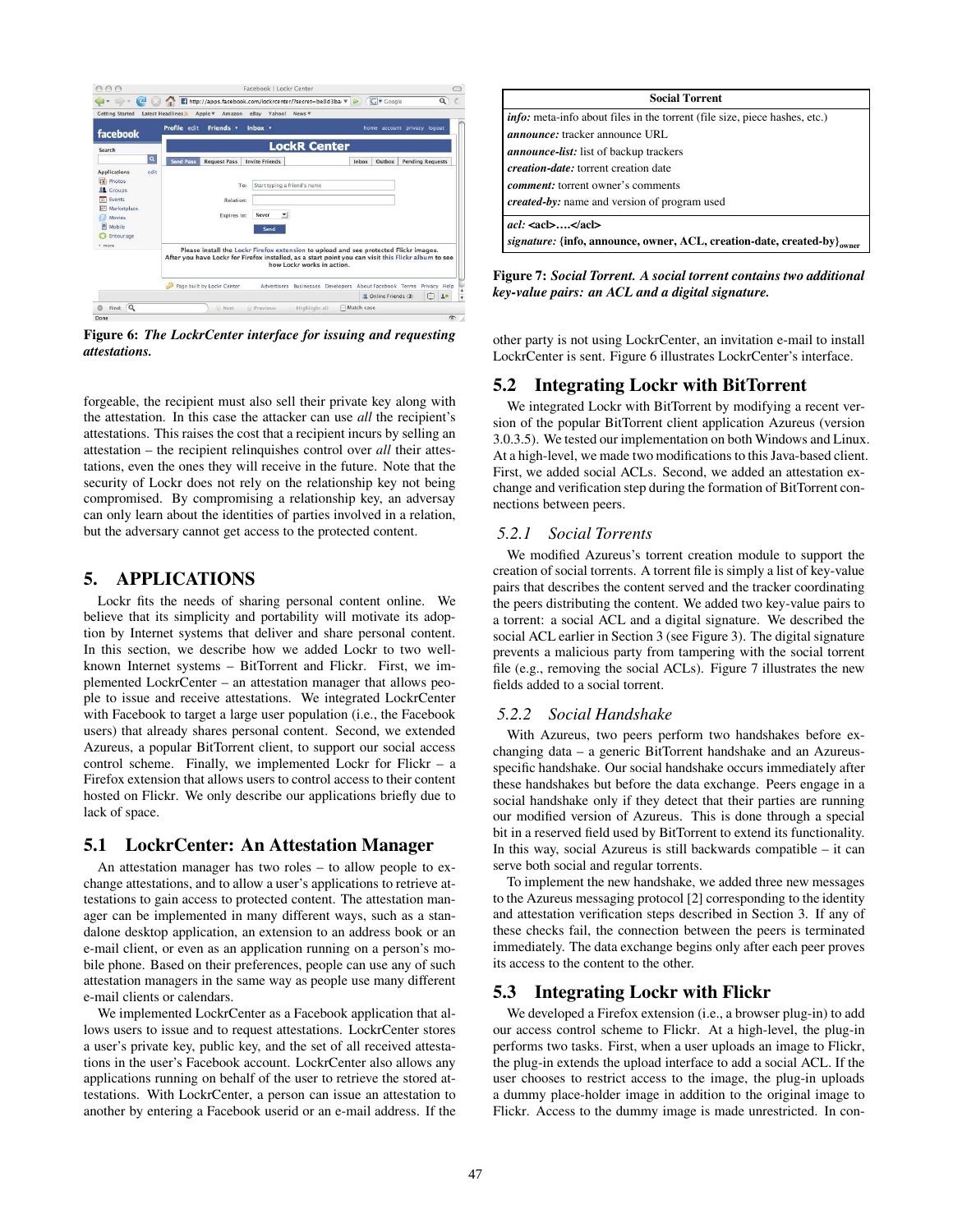

Figure 6: *The LockrCenter interface for issuing and requesting attestations.*

forgeable, the recipient must also sell their private key along with the attestation. In this case the attacker can use *all* the recipient's attestations. This raises the cost that a recipient incurs by selling an attestation – the recipient relinquishes control over *all* their attestations, even the ones they will receive in the future. Note that the security of Lockr does not rely on the relationship key not being compromised. By compromising a relationship key, an adversay can only learn about the identities of parties involved in a relation, but the adversary cannot get access to the protected content.

#### 5. APPLICATIONS

Lockr fits the needs of sharing personal content online. We believe that its simplicity and portability will motivate its adoption by Internet systems that deliver and share personal content. In this section, we describe how we added Lockr to two wellknown Internet systems – BitTorrent and Flickr. First, we implemented LockrCenter – an attestation manager that allows people to issue and receive attestations. We integrated LockrCenter with Facebook to target a large user population (i.e., the Facebook users) that already shares personal content. Second, we extended Azureus, a popular BitTorrent client, to support our social access control scheme. Finally, we implemented Lockr for Flickr – a Firefox extension that allows users to control access to their content hosted on Flickr. We only describe our applications briefly due to lack of space.

#### 5.1 LockrCenter: An Attestation Manager

An attestation manager has two roles – to allow people to exchange attestations, and to allow a user's applications to retrieve attestations to gain access to protected content. The attestation manager can be implemented in many different ways, such as a standalone desktop application, an extension to an address book or an e-mail client, or even as an application running on a person's mobile phone. Based on their preferences, people can use any of such attestation managers in the same way as people use many different e-mail clients or calendars.

We implemented LockrCenter as a Facebook application that allows users to issue and to request attestations. LockrCenter stores a user's private key, public key, and the set of all received attestations in the user's Facebook account. LockrCenter also allows any applications running on behalf of the user to retrieve the stored attestations. With LockrCenter, a person can issue an attestation to another by entering a Facebook userid or an e-mail address. If the



Figure 7: *Social Torrent. A social torrent contains two additional key-value pairs: an ACL and a digital signature.*

other party is not using LockrCenter, an invitation e-mail to install LockrCenter is sent. Figure 6 illustrates LockrCenter's interface.

## 5.2 Integrating Lockr with BitTorrent

We integrated Lockr with BitTorrent by modifying a recent version of the popular BitTorrent client application Azureus (version 3.0.3.5). We tested our implementation on both Windows and Linux. At a high-level, we made two modifications to this Java-based client. First, we added social ACLs. Second, we added an attestation exchange and verification step during the formation of BitTorrent connections between peers.

#### *5.2.1 Social Torrents*

We modified Azureus's torrent creation module to support the creation of social torrents. A torrent file is simply a list of key-value pairs that describes the content served and the tracker coordinating the peers distributing the content. We added two key-value pairs to a torrent: a social ACL and a digital signature. We described the social ACL earlier in Section 3 (see Figure 3). The digital signature prevents a malicious party from tampering with the social torrent file (e.g., removing the social ACLs). Figure 7 illustrates the new fields added to a social torrent.

#### *5.2.2 Social Handshake*

With Azureus, two peers perform two handshakes before exchanging data – a generic BitTorrent handshake and an Azureusspecific handshake. Our social handshake occurs immediately after these handshakes but before the data exchange. Peers engage in a social handshake only if they detect that their parties are running our modified version of Azureus. This is done through a special bit in a reserved field used by BitTorrent to extend its functionality. In this way, social Azureus is still backwards compatible – it can serve both social and regular torrents.

To implement the new handshake, we added three new messages to the Azureus messaging protocol [2] corresponding to the identity and attestation verification steps described in Section 3. If any of these checks fail, the connection between the peers is terminated immediately. The data exchange begins only after each peer proves its access to the content to the other.

#### 5.3 Integrating Lockr with Flickr

We developed a Firefox extension (i.e., a browser plug-in) to add our access control scheme to Flickr. At a high-level, the plug-in performs two tasks. First, when a user uploads an image to Flickr, the plug-in extends the upload interface to add a social ACL. If the user chooses to restrict access to the image, the plug-in uploads a dummy place-holder image in addition to the original image to Flickr. Access to the dummy image is made unrestricted. In con-